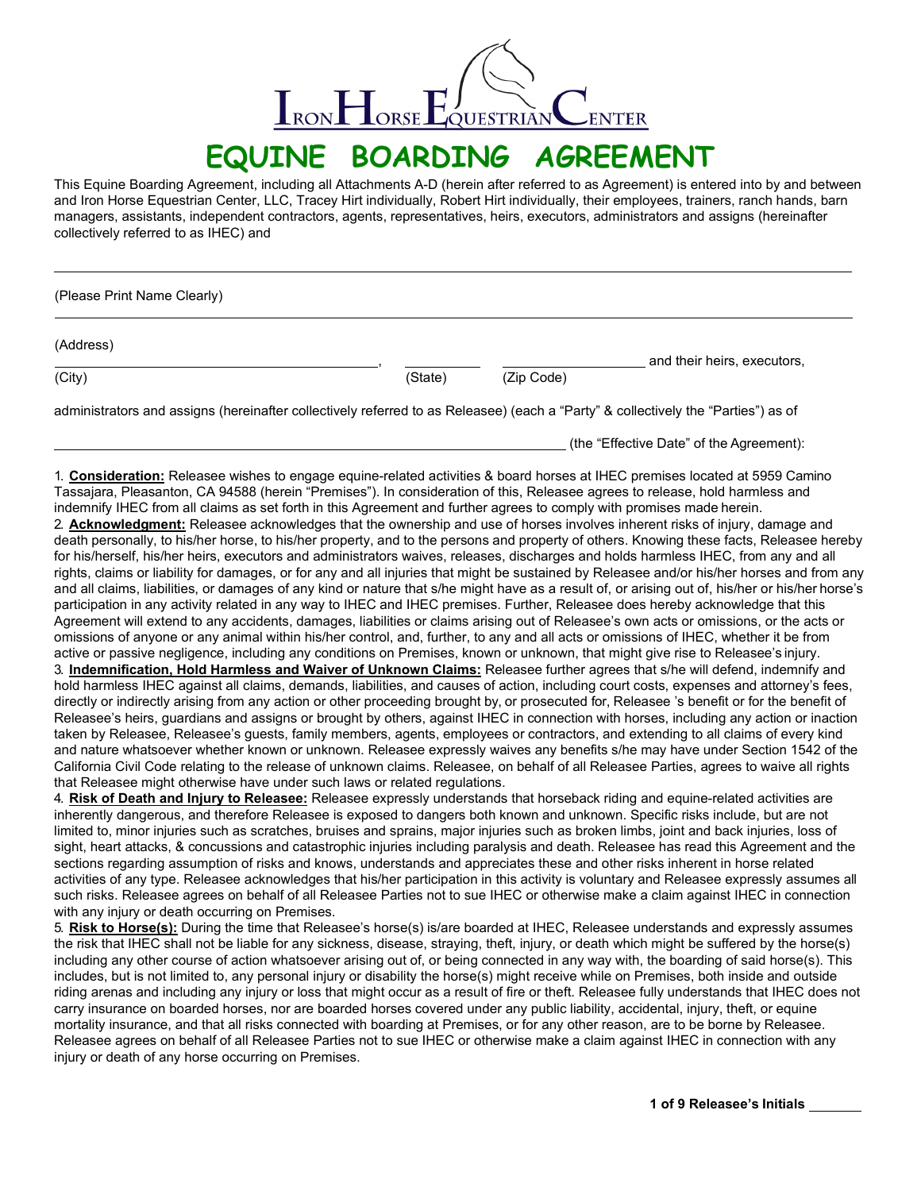

# **EQUINE BOARDING AGREEMENT**

This Equine Boarding Agreement, including all Attachments A-D (herein after referred to as Agreement) is entered into by and between and Iron Horse Equestrian Center, LLC, Tracey Hirt individually, Robert Hirt individually, their employees, trainers, ranch hands, barn managers, assistants, independent contractors, agents, representatives, heirs, executors, administrators and assigns (hereinafter collectively referred to as IHEC) and

(Please Print Name Clearly)

(Address)

(City) (State) (Zip Code)

administrators and assigns (hereinafter collectively referred to as Releasee) (each a "Party" & collectively the "Parties") as of

(the "Effective Date" of the Agreement):

, and their heirs, executors,

1. **Consideration:** Releasee wishes to engage equine-related activities & board horses at IHEC premises located at 5959 Camino Tassajara, Pleasanton, CA 94588 (herein "Premises"). In consideration of this, Releasee agrees to release, hold harmless and indemnify IHEC from all claims as set forth in this Agreement and further agrees to comply with promises made herein.

2. **Acknowledgment:** Releasee acknowledges that the ownership and use of horses involves inherent risks of injury, damage and death personally, to his/her horse, to his/her property, and to the persons and property of others. Knowing these facts, Releasee hereby for his/herself, his/her heirs, executors and administrators waives, releases, discharges and holds harmless IHEC, from any and all rights, claims or liability for damages, or for any and all injuries that might be sustained by Releasee and/or his/her horses and from any and all claims, liabilities, or damages of any kind or nature that s/he might have as a result of, or arising out of, his/her or his/her horse's participation in any activity related in any way to IHEC and IHEC premises. Further, Releasee does hereby acknowledge that this Agreement will extend to any accidents, damages, liabilities or claims arising out of Releasee's own acts or omissions, or the acts or omissions of anyone or any animal within his/her control, and, further, to any and all acts or omissions of IHEC, whether it be from active or passive negligence, including any conditions on Premises, known or unknown, that might give rise to Releasee's injury. 3. **Indemnification, Hold Harmless and Waiver of Unknown Claims:** Releasee further agrees that s/he will defend, indemnify and hold harmless IHEC against all claims, demands, liabilities, and causes of action, including court costs, expenses and attorney's fees, directly or indirectly arising from any action or other proceeding brought by, or prosecuted for, Releasee 's benefit or for the benefit of Releasee's heirs, guardians and assigns or brought by others, against IHEC in connection with horses, including any action or inaction taken by Releasee, Releasee's guests, family members, agents, employees or contractors, and extending to all claims of every kind and nature whatsoever whether known or unknown. Releasee expressly waives any benefits s/he may have under Section 1542 of the California Civil Code relating to the release of unknown claims. Releasee, on behalf of all Releasee Parties, agrees to waive all rights that Releasee might otherwise have under such laws or related regulations.

4. **Risk of Death and Injury to Releasee:** Releasee expressly understands that horseback riding and equine-related activities are inherently dangerous, and therefore Releasee is exposed to dangers both known and unknown. Specific risks include, but are not limited to, minor injuries such as scratches, bruises and sprains, major injuries such as broken limbs, joint and back injuries, loss of sight, heart attacks, & concussions and catastrophic injuries including paralysis and death. Releasee has read this Agreement and the sections regarding assumption of risks and knows, understands and appreciates these and other risks inherent in horse related activities of any type. Releasee acknowledges that his/her participation in this activity is voluntary and Releasee expressly assumes all such risks. Releasee agrees on behalf of all Releasee Parties not to sue IHEC or otherwise make a claim against IHEC in connection with any injury or death occurring on Premises.

5. **Risk to Horse(s):** During the time that Releasee's horse(s) is/are boarded at IHEC, Releasee understands and expressly assumes the risk that IHEC shall not be liable for any sickness, disease, straying, theft, injury, or death which might be suffered by the horse(s) including any other course of action whatsoever arising out of, or being connected in any way with, the boarding of said horse(s). This includes, but is not limited to, any personal injury or disability the horse(s) might receive while on Premises, both inside and outside riding arenas and including any injury or loss that might occur as a result of fire or theft. Releasee fully understands that IHEC does not carry insurance on boarded horses, nor are boarded horses covered under any public liability, accidental, injury, theft, or equine mortality insurance, and that all risks connected with boarding at Premises, or for any other reason, are to be borne by Releasee. Releasee agrees on behalf of all Releasee Parties not to sue IHEC or otherwise make a claim against IHEC in connection with any injury or death of any horse occurring on Premises.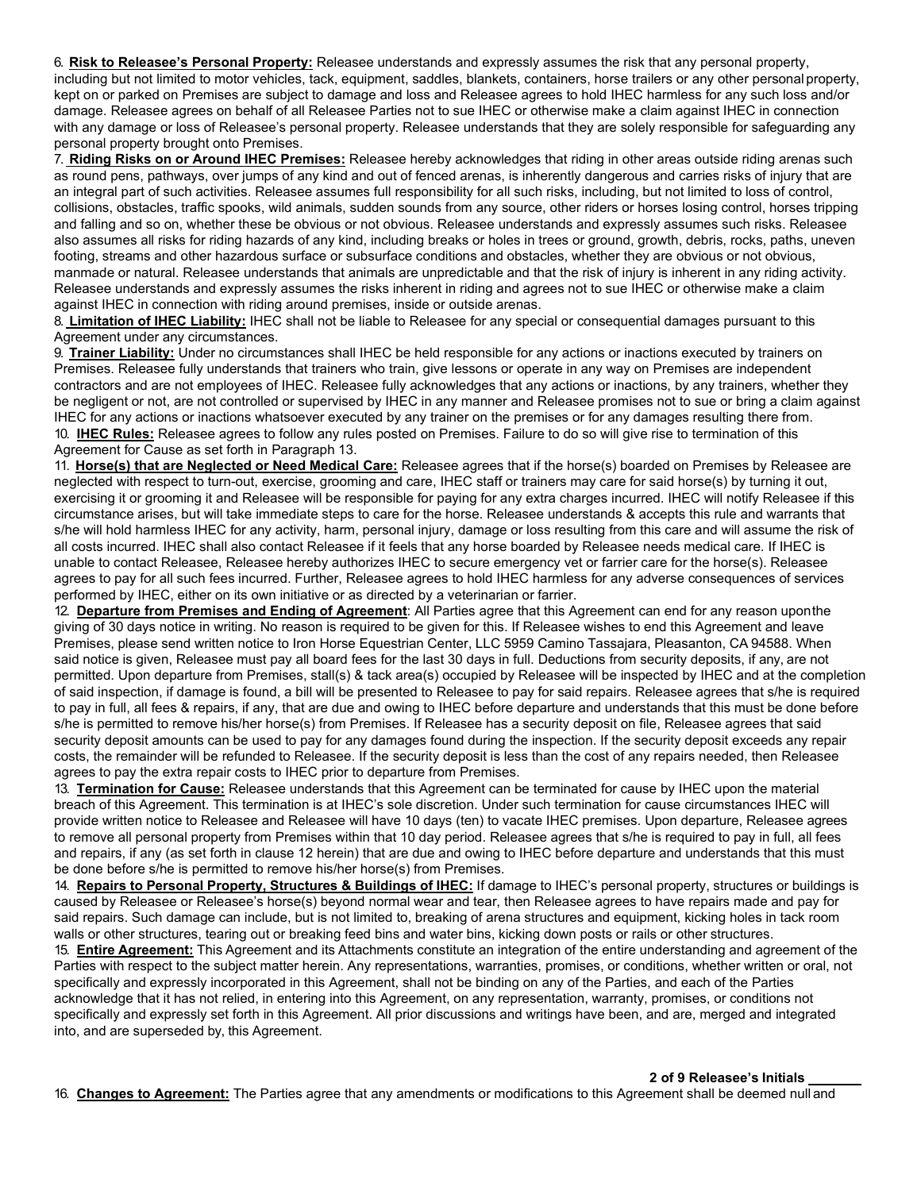6. **Risk to Releasee's Personal Property:** Releasee understands and expressly assumes the risk that any personal property, including but not limited to motor vehicles, tack, equipment, saddles, blankets, containers, horse trailers or any other personal property, kept on or parked on Premises are subject to damage and loss and Releasee agrees to hold IHEC harmless for any such loss and/or damage. Releasee agrees on behalf of all Releasee Parties not to sue IHEC or otherwise make a claim against IHEC in connection with any damage or loss of Releasee's personal property. Releasee understands that they are solely responsible for safeguarding any personal property brought onto Premises.

7. **Riding Risks on or Around IHEC Premises:** Releasee hereby acknowledges that riding in other areas outside riding arenas such as round pens, pathways, over jumps of any kind and out of fenced arenas, is inherently dangerous and carries risks of injury that are an integral part of such activities. Releasee assumes full responsibility for all such risks, including, but not limited to loss of control, collisions, obstacles, traffic spooks, wild animals, sudden sounds from any source, other riders or horses losing control, horses tripping and falling and so on, whether these be obvious or not obvious. Releasee understands and expressly assumes such risks. Releasee also assumes all risks for riding hazards of any kind, including breaks or holes in trees or ground, growth, debris, rocks, paths, uneven footing, streams and other hazardous surface or subsurface conditions and obstacles, whether they are obvious or not obvious, manmade or natural. Releasee understands that animals are unpredictable and that the risk of injury is inherent in any riding activity. Releasee understands and expressly assumes the risks inherent in riding and agrees not to sue IHEC or otherwise make a claim against IHEC in connection with riding around premises, inside or outside arenas.

8. **Limitation of IHEC Liability:** IHEC shall not be liable to Releasee for any special or consequential damages pursuant to this Agreement under any circumstances.

9. **Trainer Liability:** Under no circumstances shall IHEC be held responsible for any actions or inactions executed by trainers on Premises. Releasee fully understands that trainers who train, give lessons or operate in any way on Premises are independent contractors and are not employees of IHEC. Releasee fully acknowledges that any actions or inactions, by any trainers, whether they be negligent or not, are not controlled or supervised by IHEC in any manner and Releasee promises not to sue or bring a claim against IHEC for any actions or inactions whatsoever executed by any trainer on the premises or for any damages resulting there from. 10. **IHEC Rules:** Releasee agrees to follow any rules posted on Premises. Failure to do so will give rise to termination of this Agreement for Cause as set forth in Paragraph 13.

11. **Horse(s) that are Neglected or Need Medical Care:** Releasee agrees that if the horse(s) boarded on Premises by Releasee are neglected with respect to turn-out, exercise, grooming and care, IHEC staff or trainers may care for said horse(s) by turning it out, exercising it or grooming it and Releasee will be responsible for paying for any extra charges incurred. IHEC will notify Releasee if this circumstance arises, but will take immediate steps to care for the horse. Releasee understands & accepts this rule and warrants that s/he will hold harmless IHEC for any activity, harm, personal injury, damage or loss resulting from this care and will assume the risk of all costs incurred. IHEC shall also contact Releasee if it feels that any horse boarded by Releasee needs medical care. If IHEC is unable to contact Releasee, Releasee hereby authorizes IHEC to secure emergency vet or farrier care for the horse(s). Releasee agrees to pay for all such fees incurred. Further, Releasee agrees to hold IHEC harmless for any adverse consequences of services performed by IHEC, either on its own initiative or as directed by a veterinarian or farrier.

12. **Departure from Premises and Ending of Agreement**: All Parties agree that this Agreement can end for any reason uponthe giving of 30 days notice in writing. No reason is required to be given for this. If Releasee wishes to end this Agreement and leave Premises, please send written notice to Iron Horse Equestrian Center, LLC 5959 Camino Tassajara, Pleasanton, CA 94588. When said notice is given, Releasee must pay all board fees for the last 30 days in full. Deductions from security deposits, if any, are not permitted. Upon departure from Premises, stall(s) & tack area(s) occupied by Releasee will be inspected by IHEC and at the completion of said inspection, if damage is found, a bill will be presented to Releasee to pay for said repairs. Releasee agrees that s/he is required to pay in full, all fees & repairs, if any, that are due and owing to IHEC before departure and understands that this must be done before s/he is permitted to remove his/her horse(s) from Premises. If Releasee has a security deposit on file, Releasee agrees that said security deposit amounts can be used to pay for any damages found during the inspection. If the security deposit exceeds any repair costs, the remainder will be refunded to Releasee. If the security deposit is less than the cost of any repairs needed, then Releasee agrees to pay the extra repair costs to IHEC prior to departure from Premises.

13. **Termination for Cause:** Releasee understands that this Agreement can be terminated for cause by IHEC upon the material breach of this Agreement. This termination is at IHEC's sole discretion. Under such termination for cause circumstances IHEC will provide written notice to Releasee and Releasee will have 10 days (ten) to vacate IHEC premises. Upon departure, Releasee agrees to remove all personal property from Premises within that 10 day period. Releasee agrees that s/he is required to pay in full, all fees and repairs, if any (as set forth in clause 12 herein) that are due and owing to IHEC before departure and understands that this must be done before s/he is permitted to remove his/her horse(s) from Premises.

14. **Repairs to Personal Property, Structures & Buildings of IHEC:** If damage to IHEC's personal property, structures or buildings is caused by Releasee or Releasee's horse(s) beyond normal wear and tear, then Releasee agrees to have repairs made and pay for said repairs. Such damage can include, but is not limited to, breaking of arena structures and equipment, kicking holes in tack room walls or other structures, tearing out or breaking feed bins and water bins, kicking down posts or rails or other structures.

15. **Entire Agreement:** This Agreement and its Attachments constitute an integration of the entire understanding and agreement of the Parties with respect to the subject matter herein. Any representations, warranties, promises, or conditions, whether written or oral, not specifically and expressly incorporated in this Agreement, shall not be binding on any of the Parties, and each of the Parties acknowledge that it has not relied, in entering into this Agreement, on any representation, warranty, promises, or conditions not specifically and expressly set forth in this Agreement. All prior discussions and writings have been, and are, merged and integrated into, and are superseded by, this Agreement.

#### **2 of 9 Releasee's Initials**

16. **Changes to Agreement:** The Parties agree that any amendments or modifications to this Agreement shall be deemed null and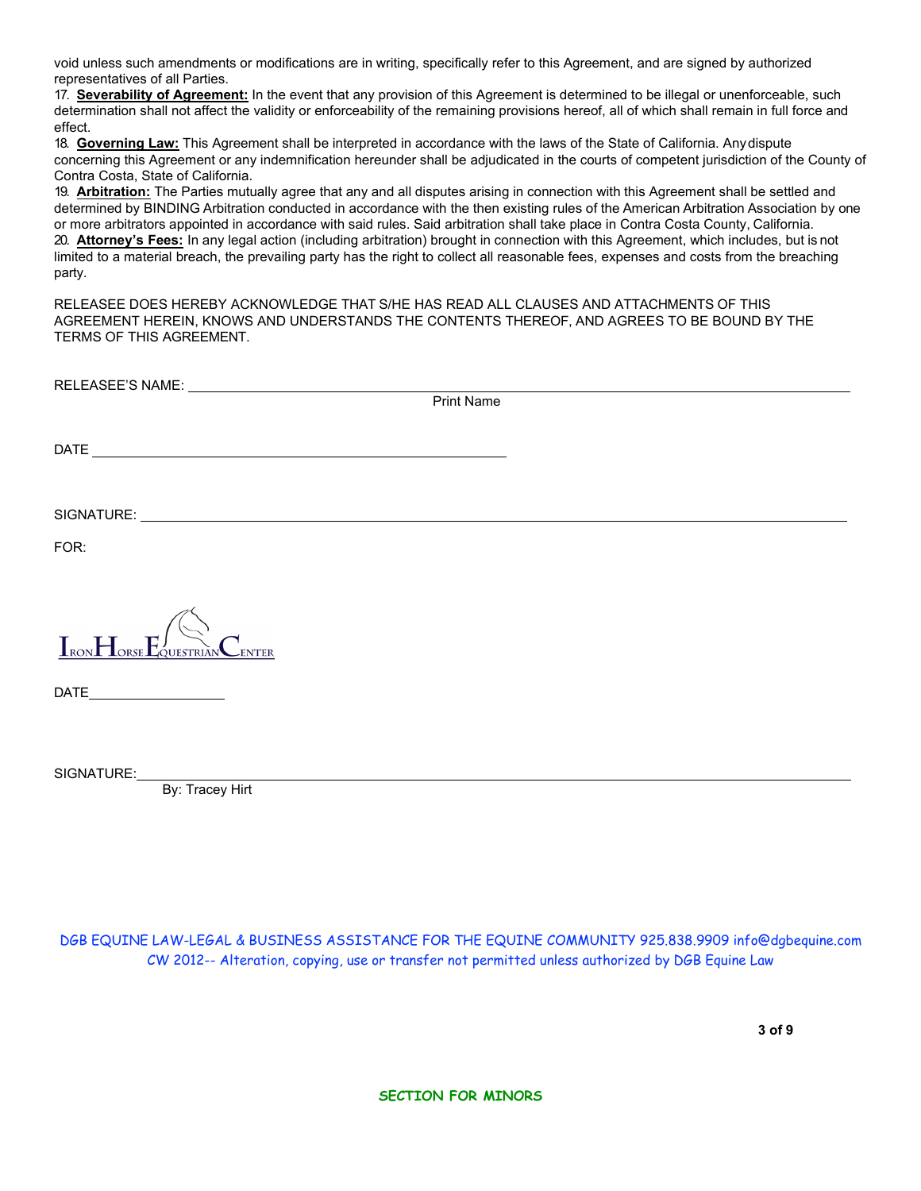void unless such amendments or modifications are in writing, specifically refer to this Agreement, and are signed by authorized representatives of all Parties.

17. **Severability of Agreement:** In the event that any provision of this Agreement is determined to be illegal or unenforceable, such determination shall not affect the validity or enforceability of the remaining provisions hereof, all of which shall remain in full force and effect.

18. **Governing Law:** This Agreement shall be interpreted in accordance with the laws of the State of California. Anydispute concerning this Agreement or any indemnification hereunder shall be adjudicated in the courts of competent jurisdiction of the County of Contra Costa, State of California.

19. **Arbitration:** The Parties mutually agree that any and all disputes arising in connection with this Agreement shall be settled and determined by BINDING Arbitration conducted in accordance with the then existing rules of the American Arbitration Association by one or more arbitrators appointed in accordance with said rules. Said arbitration shall take place in Contra Costa County, California. 20. **Attorney's Fees:** In any legal action (including arbitration) brought in connection with this Agreement, which includes, but is not limited to a material breach, the prevailing party has the right to collect all reasonable fees, expenses and costs from the breaching party.

RELEASEE DOES HEREBY ACKNOWLEDGE THAT S/HE HAS READ ALL CLAUSES AND ATTACHMENTS OF THIS AGREEMENT HEREIN, KNOWS AND UNDERSTANDS THE CONTENTS THEREOF, AND AGREES TO BE BOUND BY THE TERMS OF THIS AGREEMENT.

| RELEASEE'S NAME: VALUE AND A CONTROLLER AND A CONTROLLER AND A CONTROLLER AND A CONTROLLER AND A CONTROLLER AND A CONTROLLER AND A CONTROLLER AND A CONTROLLER AND A CONTROLLER AND A CONTROLLER AND A CONTROLLER AND A CONTRO |
|--------------------------------------------------------------------------------------------------------------------------------------------------------------------------------------------------------------------------------|
| <b>Print Name</b>                                                                                                                                                                                                              |
|                                                                                                                                                                                                                                |
|                                                                                                                                                                                                                                |
| FOR:                                                                                                                                                                                                                           |
|                                                                                                                                                                                                                                |
| $I_{\text{RON}}H_{\text{ORSE}}E_{\text{QUESTRIAN}}$<br><b>ENTER</b>                                                                                                                                                            |
| $\begin{tabular}{c} \bf{DATE} \end{tabular}$                                                                                                                                                                                   |
|                                                                                                                                                                                                                                |
| By: Tracey Hirt                                                                                                                                                                                                                |
|                                                                                                                                                                                                                                |
|                                                                                                                                                                                                                                |
|                                                                                                                                                                                                                                |
| DGB EQUINE LAW-LEGAL & BUSINESS ASSISTANCE FOR THE EQUINE COMMUNITY 925.838.9909 info@dqbequine.com                                                                                                                            |

[DGB EQUINE LAW-LEGAL & BUSINESS ASSISTANCE FOR THE EQUINE COMMUNITY 925.838.9909 info@dgbequine.com](mailto:info@dgbequine.com) CW 2012-- Alteration, copying, use or transfer not permitted unless authorized by DGB Equine Law

**SECTION FOR MINORS**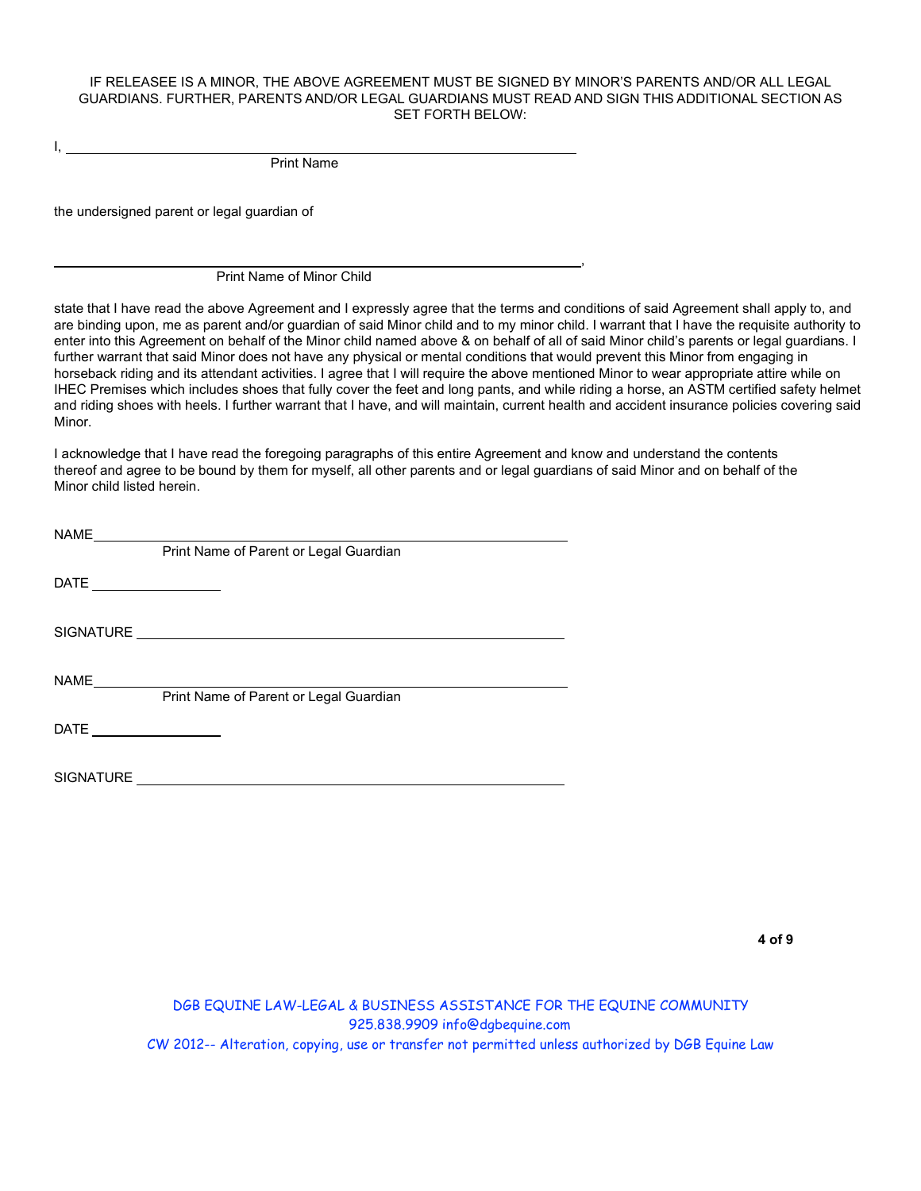## IF RELEASEE IS A MINOR, THE ABOVE AGREEMENT MUST BE SIGNED BY MINOR'S PARENTS AND/OR ALL LEGAL GUARDIANS. FURTHER, PARENTS AND/OR LEGAL GUARDIANS MUST READ AND SIGN THIS ADDITIONAL SECTION AS SET FORTH BELOW:

Print Name

the undersigned parent or legal guardian of

I,

Print Name of Minor Child

state that I have read the above Agreement and I expressly agree that the terms and conditions of said Agreement shall apply to, and are binding upon, me as parent and/or guardian of said Minor child and to my minor child. I warrant that I have the requisite authority to enter into this Agreement on behalf of the Minor child named above & on behalf of all of said Minor child's parents or legal guardians. I further warrant that said Minor does not have any physical or mental conditions that would prevent this Minor from engaging in horseback riding and its attendant activities. I agree that I will require the above mentioned Minor to wear appropriate attire while on IHEC Premises which includes shoes that fully cover the feet and long pants, and while riding a horse, an ASTM certified safety helmet and riding shoes with heels. I further warrant that I have, and will maintain, current health and accident insurance policies covering said Minor.

,

I acknowledge that I have read the foregoing paragraphs of this entire Agreement and know and understand the contents thereof and agree to be bound by them for myself, all other parents and or legal guardians of said Minor and on behalf of the Minor child listed herein.

| Print Name of Parent or Legal Guardian |
|----------------------------------------|
|                                        |
|                                        |
| Print Name of Parent or Legal Guardian |
|                                        |
|                                        |

DGB EQUINE LAW-LEGAL & BUSINESS ASSISTANCE FOR THE EQUINE COMMUNITY [925.838.9909 info@dgbequine.com](mailto:info@dgbequine.com) CW 2012-- Alteration, copying, use or transfer not permitted unless authorized by DGB Equine Law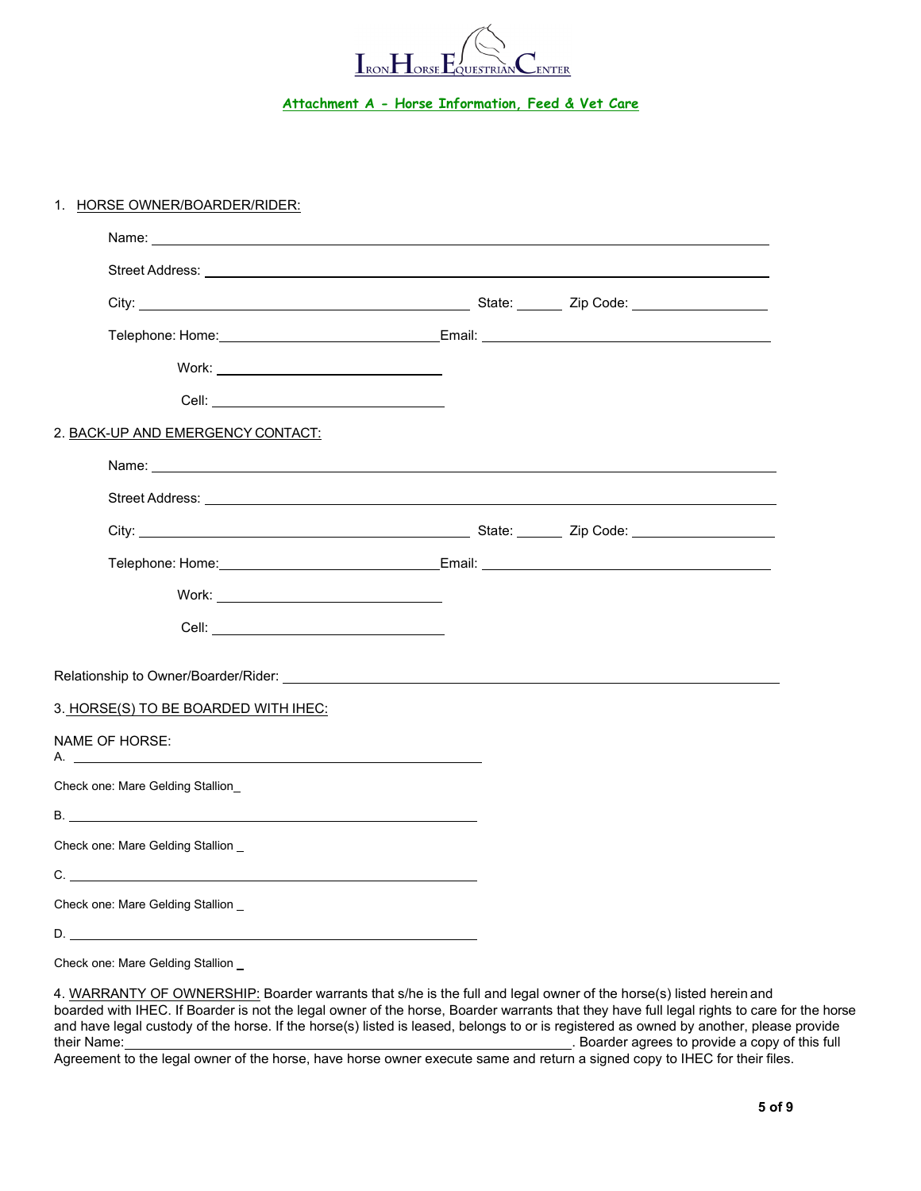

# **Attachment A - Horse Information, Feed & Vet Care**

### 1. HORSE OWNER/BOARDER/RIDER:

|                                      | 2. BACK-UP AND EMERGENCY CONTACT:                                                                                                                                                                                                    |  |  |  |
|--------------------------------------|--------------------------------------------------------------------------------------------------------------------------------------------------------------------------------------------------------------------------------------|--|--|--|
|                                      | Name: <u>2000 - 2000 - 2000 - 2000 - 2000 - 2000 - 2000 - 2000 - 2000 - 2000 - 2000 - 2000 - 2000 - 2000 - 2000 - 2000 - 2000 - 2000 - 2000 - 2000 - 2000 - 2000 - 2000 - 2000 - 2000 - 2000 - 2000 - 2000 - 2000 - 2000 - 2000 </u> |  |  |  |
|                                      |                                                                                                                                                                                                                                      |  |  |  |
|                                      |                                                                                                                                                                                                                                      |  |  |  |
|                                      |                                                                                                                                                                                                                                      |  |  |  |
|                                      |                                                                                                                                                                                                                                      |  |  |  |
|                                      |                                                                                                                                                                                                                                      |  |  |  |
|                                      |                                                                                                                                                                                                                                      |  |  |  |
| 3. HORSE(S) TO BE BOARDED WITH IHEC: |                                                                                                                                                                                                                                      |  |  |  |
|                                      | NAME OF HORSE:                                                                                                                                                                                                                       |  |  |  |
|                                      | Check one: Mare Gelding Stallion                                                                                                                                                                                                     |  |  |  |
|                                      | B. <u>Alexander Communication of the Communication</u>                                                                                                                                                                               |  |  |  |
|                                      | Check one: Mare Gelding Stallion _                                                                                                                                                                                                   |  |  |  |
|                                      | C.                                                                                                                                                                                                                                   |  |  |  |
|                                      | Check one: Mare Gelding Stallion _                                                                                                                                                                                                   |  |  |  |
|                                      |                                                                                                                                                                                                                                      |  |  |  |
|                                      | Check one: Mare Gelding Stallion                                                                                                                                                                                                     |  |  |  |

4. WARRANTY OF OWNERSHIP: Boarder warrants that s/he is the full and legal owner of the horse(s) listed herein and boarded with IHEC. If Boarder is not the legal owner of the horse, Boarder warrants that they have full legal rights to care for the horse and have legal custody of the horse. If the horse(s) listed is leased, belongs to or is registered as owned by another, please provide . Boarder agrees to provide a copy of this full

Agreement to the legal owner of the horse, have horse owner execute same and return a signed copy to IHEC for their files.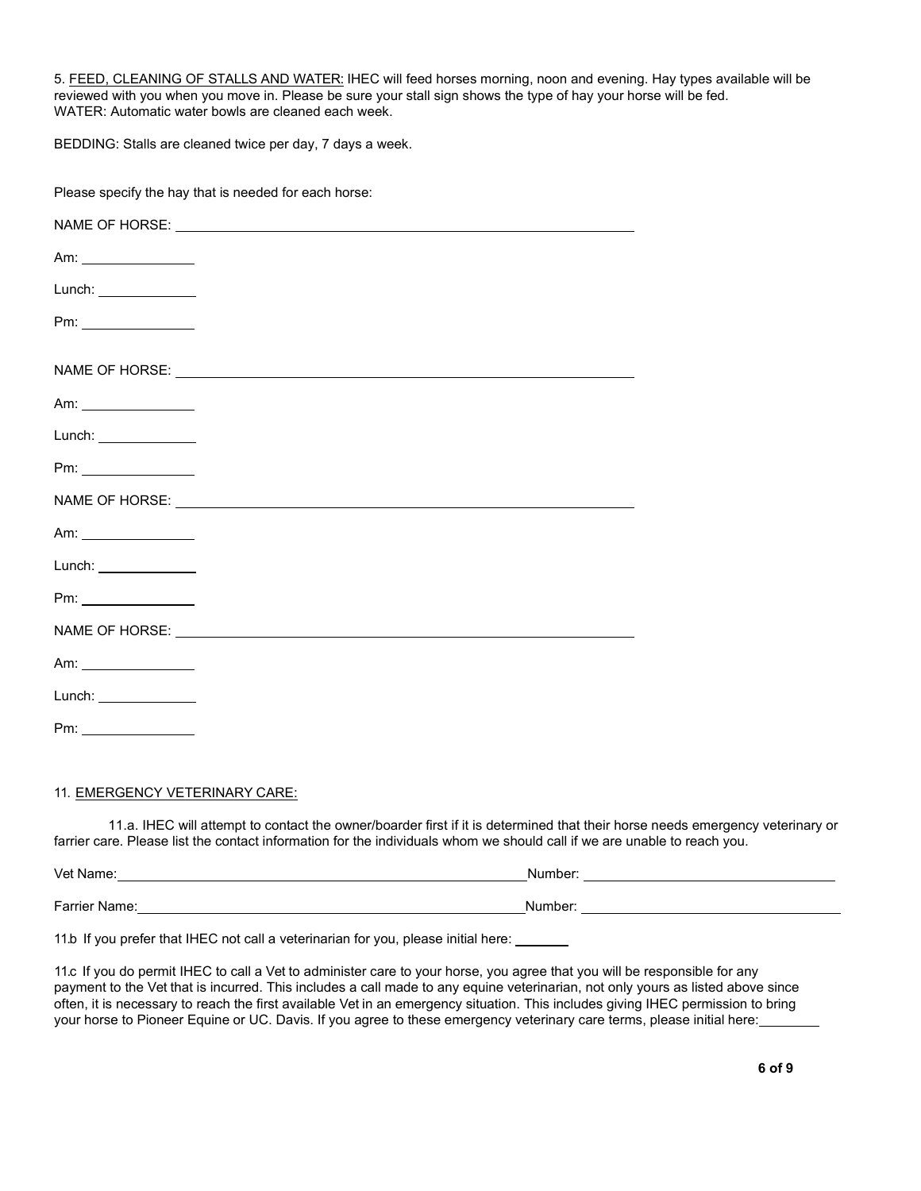5. FEED, CLEANING OF STALLS AND WATER: IHEC will feed horses morning, noon and evening. Hay types available will be reviewed with you when you move in. Please be sure your stall sign shows the type of hay your horse will be fed. WATER: Automatic water bowls are cleaned each week.

BEDDING: Stalls are cleaned twice per day, 7 days a week.

Please specify the hay that is needed for each horse:

|                                                         | NAME OF HORSE: NAME OF HORSE CONTINUES.                                                                                                                                                                                        |
|---------------------------------------------------------|--------------------------------------------------------------------------------------------------------------------------------------------------------------------------------------------------------------------------------|
|                                                         |                                                                                                                                                                                                                                |
| Lunch: $\frac{1}{2}$                                    |                                                                                                                                                                                                                                |
| Pm:                                                     |                                                                                                                                                                                                                                |
|                                                         |                                                                                                                                                                                                                                |
|                                                         |                                                                                                                                                                                                                                |
| Lunch: $\frac{1}{2}$                                    |                                                                                                                                                                                                                                |
|                                                         |                                                                                                                                                                                                                                |
|                                                         | NAME OF HORSE: NAME OF HORSE AND THE SERVICE OF HORSE SERVICE OF THE SERVICE OF THE SERVICE OF THE SERVICE OF THE SERVICE OF THE SERVICE OF THE SERVICE OF THE SERVICE OF THE SERVICE OF THE SERVICE OF THE SERVICE OF THE SER |
|                                                         |                                                                                                                                                                                                                                |
| Lunch: $\frac{1}{2}$                                    |                                                                                                                                                                                                                                |
|                                                         |                                                                                                                                                                                                                                |
|                                                         |                                                                                                                                                                                                                                |
| Am: 2008                                                |                                                                                                                                                                                                                                |
| Lunch: $\frac{1}{\sqrt{1-\frac{1}{2}}\cdot\frac{1}{2}}$ |                                                                                                                                                                                                                                |
|                                                         |                                                                                                                                                                                                                                |
|                                                         |                                                                                                                                                                                                                                |

#### 11. EMERGENCY VETERINARY CARE:

11.a. IHEC will attempt to contact the owner/boarder first if it is determined that their horse needs emergency veterinary or farrier care. Please list the contact information for the individuals whom we should call if we are unable to reach you.

Vet Name: <u>Number:</u> Number: 2008. Number: 2008. Number: 2008. Number: 2008. Number: 2008. Number: 2008. Number: 2008. Number: 2008. Number: 2008. Number: 2008. Number: 2008. Number: 2008. Number: 2008. Number: 2008. Number Farrier Name: No. 2008. The Contract of the Contract of the Contract of the Contract of the Contract of the Contract of the Contract of the Contract of the Contract of the Contract of the Contract of the Contract of the Co

11.b If you prefer that IHEC not call a veterinarian for you, please initial here:

11.c If you do permit IHEC to call a Vet to administer care to your horse, you agree that you will be responsible for any payment to the Vet that is incurred. This includes a call made to any equine veterinarian, not only yours as listed above since often, it is necessary to reach the first available Vet in an emergency situation. This includes giving IHEC permission to bring your horse to Pioneer Equine or UC. Davis. If you agree to these emergency veterinary care terms, please initial here: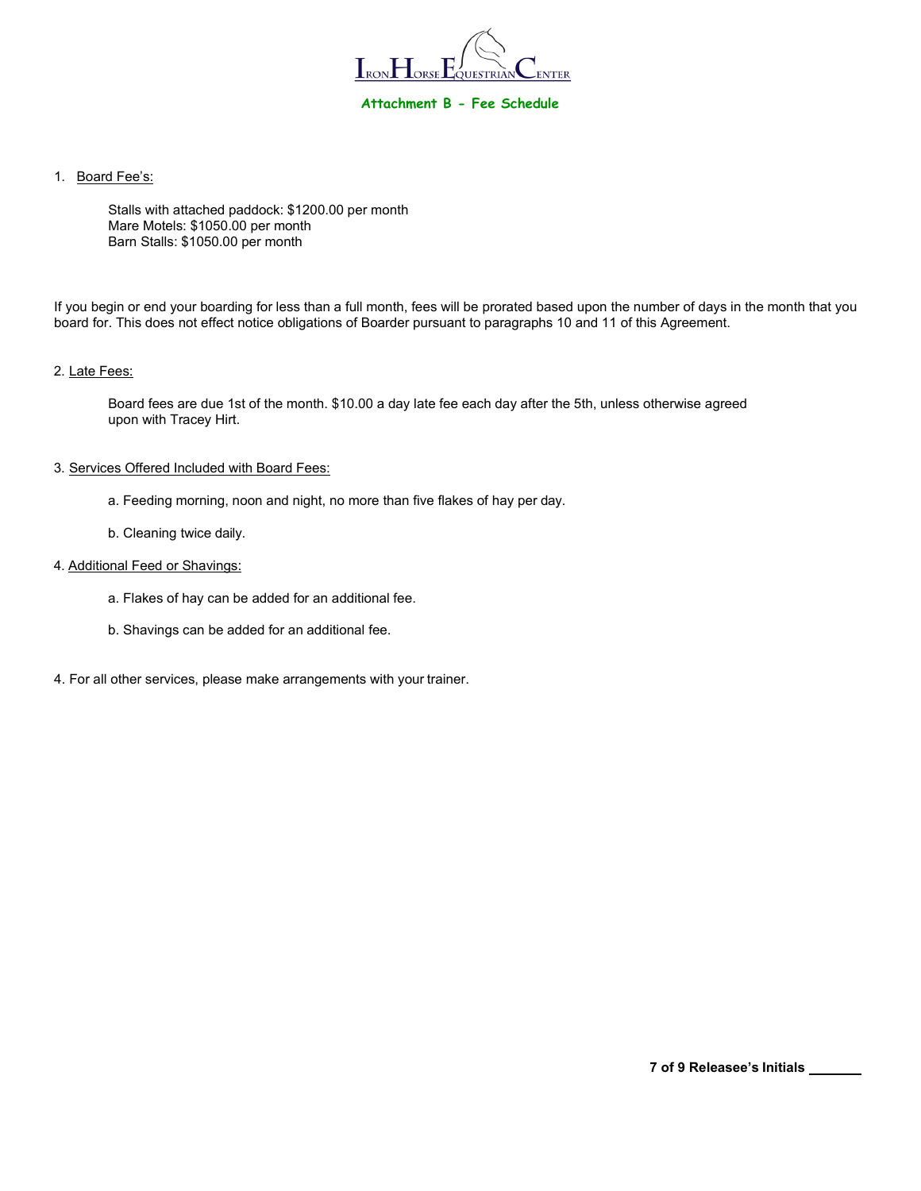

1. Board Fee's:

Stalls with attached paddock: \$1200.00 per month Mare Motels: \$1050.00 per month Barn Stalls: \$1050.00 per month

If you begin or end your boarding for less than a full month, fees will be prorated based upon the number of days in the month that you board for. This does not effect notice obligations of Boarder pursuant to paragraphs 10 and 11 of this Agreement.

## 2. Late Fees:

Board fees are due 1st of the month. \$10.00 a day late fee each day after the 5th, unless otherwise agreed upon with Tracey Hirt.

### 3. Services Offered Included with Board Fees:

- a. Feeding morning, noon and night, no more than five flakes of hay per day.
- b. Cleaning twice daily.

## 4. Additional Feed or Shavings:

- a. Flakes of hay can be added for an additional fee.
- b. Shavings can be added for an additional fee.
- 4. For all other services, please make arrangements with your trainer.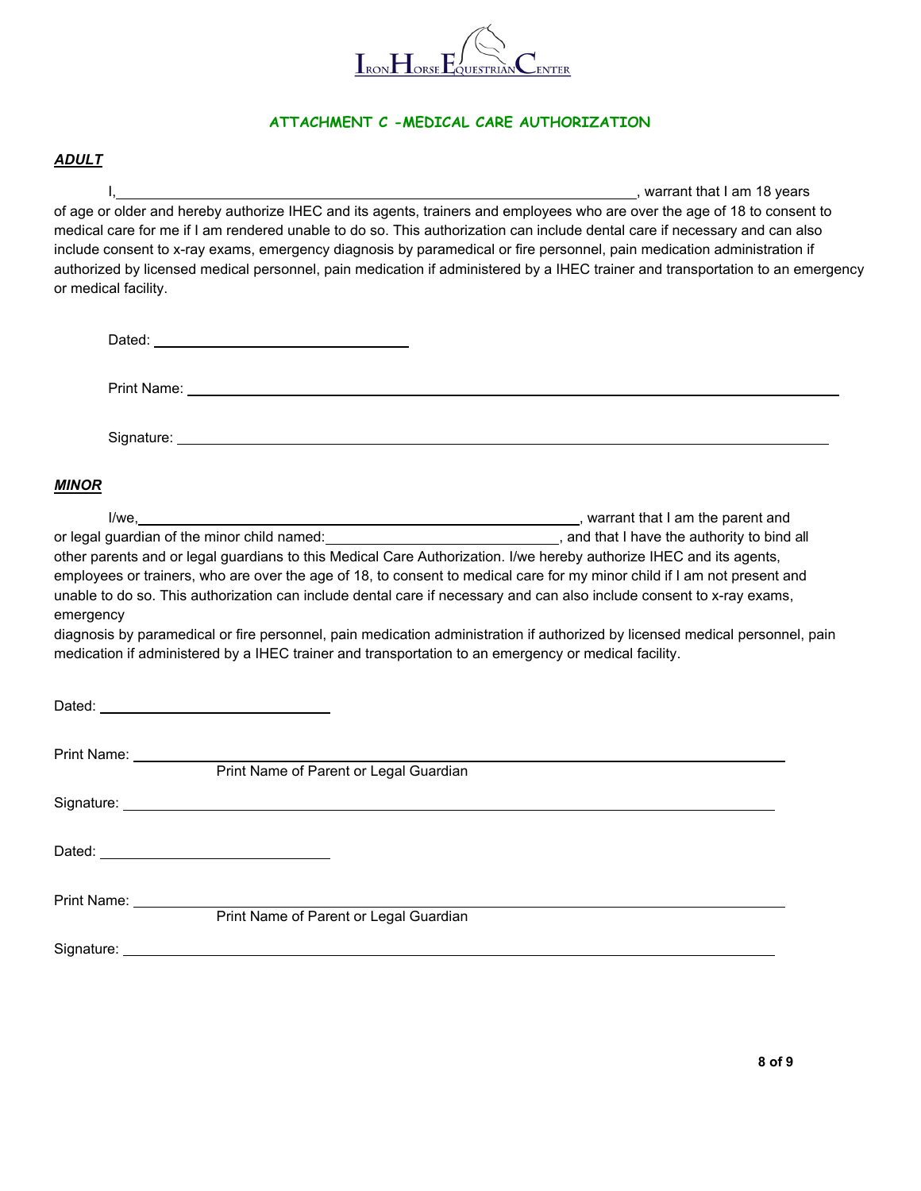

# **ATTACHMENT C -MEDICAL CARE AUTHORIZATION**

# *ADULT*

I, the contract of the contract of the contract of the contract of the contract of the contract of the contract of the contract of the contract of the contract of the contract of the contract of the contract of the contrac of age or older and hereby authorize IHEC and its agents, trainers and employees who are over the age of 18 to consent to medical care for me if I am rendered unable to do so. This authorization can include dental care if necessary and can also include consent to x-ray exams, emergency diagnosis by paramedical or fire personnel, pain medication administration if authorized by licensed medical personnel, pain medication if administered by a IHEC trainer and transportation to an emergency or medical facility.

| <b>MINOR</b>                                                                                                                                                                                                                                                                                                                                                                                                                                                                                                                                                                                                                                                                                                                      |  |
|-----------------------------------------------------------------------------------------------------------------------------------------------------------------------------------------------------------------------------------------------------------------------------------------------------------------------------------------------------------------------------------------------------------------------------------------------------------------------------------------------------------------------------------------------------------------------------------------------------------------------------------------------------------------------------------------------------------------------------------|--|
| or legal guardian of the minor child named:<br><u> and that I have the authority to bind all</u><br>other parents and or legal guardians to this Medical Care Authorization. I/we hereby authorize IHEC and its agents,<br>employees or trainers, who are over the age of 18, to consent to medical care for my minor child if I am not present and<br>unable to do so. This authorization can include dental care if necessary and can also include consent to x-ray exams,<br>emergency<br>diagnosis by paramedical or fire personnel, pain medication administration if authorized by licensed medical personnel, pain<br>medication if administered by a IHEC trainer and transportation to an emergency or medical facility. |  |
|                                                                                                                                                                                                                                                                                                                                                                                                                                                                                                                                                                                                                                                                                                                                   |  |
|                                                                                                                                                                                                                                                                                                                                                                                                                                                                                                                                                                                                                                                                                                                                   |  |
|                                                                                                                                                                                                                                                                                                                                                                                                                                                                                                                                                                                                                                                                                                                                   |  |
|                                                                                                                                                                                                                                                                                                                                                                                                                                                                                                                                                                                                                                                                                                                                   |  |
| Print Name: __________<br>Print Name of Parent or Legal Guardian                                                                                                                                                                                                                                                                                                                                                                                                                                                                                                                                                                                                                                                                  |  |
| Signature: <u>Contract Communication</u> Contract Communication Communication Communication Communication                                                                                                                                                                                                                                                                                                                                                                                                                                                                                                                                                                                                                         |  |